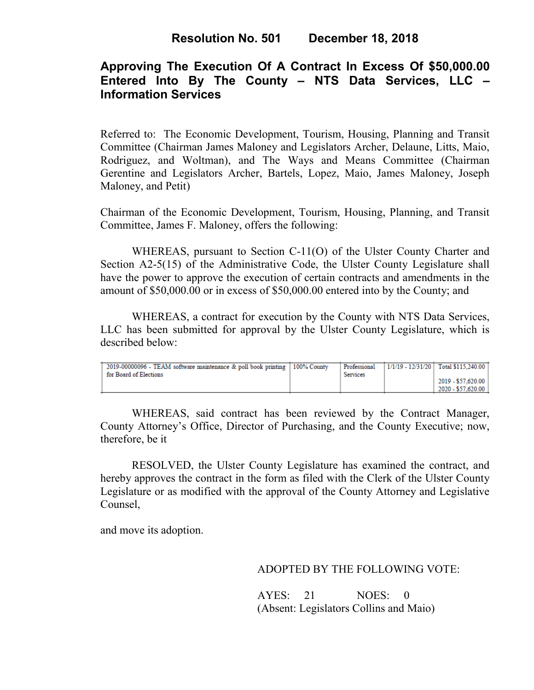# **Approving The Execution Of A Contract In Excess Of \$50,000.00 Entered Into By The County – NTS Data Services, LLC – Information Services**

Referred to: The Economic Development, Tourism, Housing, Planning and Transit Committee (Chairman James Maloney and Legislators Archer, Delaune, Litts, Maio, Rodriguez, and Woltman), and The Ways and Means Committee (Chairman Gerentine and Legislators Archer, Bartels, Lopez, Maio, James Maloney, Joseph Maloney, and Petit)

Chairman of the Economic Development, Tourism, Housing, Planning, and Transit Committee, James F. Maloney, offers the following:

WHEREAS, pursuant to Section C-11(O) of the Ulster County Charter and Section A2-5(15) of the Administrative Code, the Ulster County Legislature shall have the power to approve the execution of certain contracts and amendments in the amount of \$50,000.00 or in excess of \$50,000.00 entered into by the County; and

WHEREAS, a contract for execution by the County with NTS Data Services, LLC has been submitted for approval by the Ulster County Legislature, which is described below:

| 2019-00000096 - TEAM software maintenance & poll book printing   100% County<br>for Board of Elections | Professional<br><b>Services</b> | 1/1/19 - 12/31/20   Total \$115.240.00 |
|--------------------------------------------------------------------------------------------------------|---------------------------------|----------------------------------------|
|                                                                                                        |                                 | 2019 - \$57,620.00                     |
|                                                                                                        |                                 | 2020 - \$57,620.00                     |

WHEREAS, said contract has been reviewed by the Contract Manager, County Attorney's Office, Director of Purchasing, and the County Executive; now, therefore, be it

RESOLVED, the Ulster County Legislature has examined the contract, and hereby approves the contract in the form as filed with the Clerk of the Ulster County Legislature or as modified with the approval of the County Attorney and Legislative Counsel,

and move its adoption.

ADOPTED BY THE FOLLOWING VOTE:

AYES: 21 NOES: 0 (Absent: Legislators Collins and Maio)